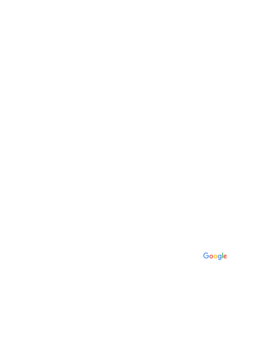## Google